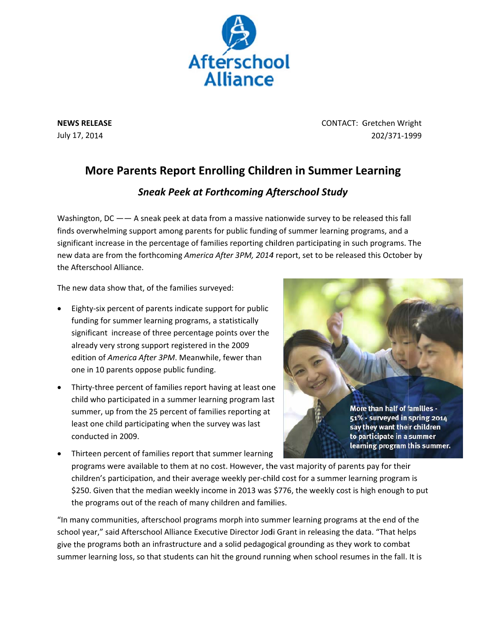

**NEWS RE LEASE** July 17, 2014

CONTACT: G Gretchen Wr ight 202/371‐1 999

## **More Parents Report Enrolling Children in Summer Learning**

## *Sneak Pee ek at Forth hcoming Af Afterschool l Study*

Washington, DC —— A sneak peek at data from a massive nationwide survey to be released this fall finds overwhelming support among parents for public funding of summer learning programs, and a significant increase in the percentage of families reporting children participating in such programs. The new data are from the forthcoming America After 3PM, 2014 report, set to be released this October by the Afterschool Alliance.

The new data show that, of the families surveyed:

- Eighty-six percent of parents indicate support for public funding for summer learning programs, a statistically significant increase of three percentage points over the already very strong support registered in the 2009 edition of *America After 3PM*. Meanwhile, fewer than one in 10 parents oppose public funding.
- Thirty-three percent of families report having at least one child who participated in a summer learning program last summer, up from the 25 percent of families reporting at least one child participating when the survey was last condu ucted in 2009 9.



• Thirteen percent of families report that summer learning Thirteen percent of families report that summer learning<br>programs were available to them at no cost. However, the vast majority of parents pay for their programs were available to them at no cost. However, the vast majority of parents pay for their<br>children's participation, and their average weekly per-child cost for a summer learning program is \$250. Given that the median weekly income in 2013 was \$776, the weekly cost is high enough to put the programs out of the reach of many children and families.

"In many communities, afterschool programs morph into summer learning programs at the end of the school year," said Afterschool Alliance Executive Director Jodi Grant in releasing the data. "That helps give the programs both an infrastructure and a solid pedagogical grounding as they work to combat give the programs both an infrastructure and a solid pedagogical grounding as they work to combat<br>summer learning loss, so that students can hit the ground running when school resumes in the fall. It is